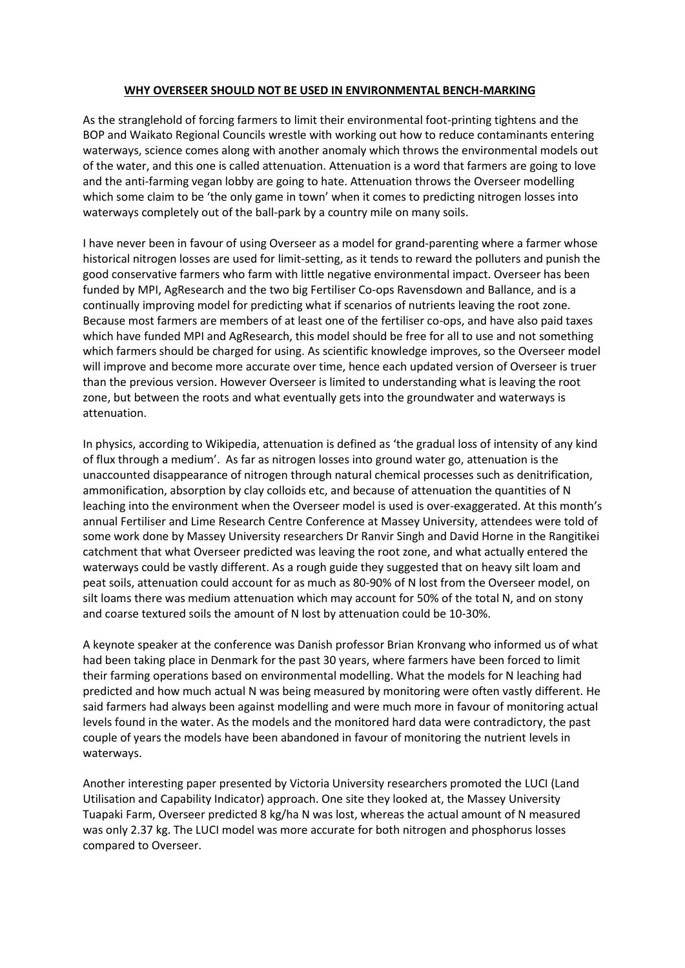## **WHY OVERSEER SHOULD NOT BE USED IN ENVIRONMENTAL BENCH-MARKING**

As the stranglehold of forcing farmers to limit their environmental foot-printing tightens and the BOP and Waikato Regional Councils wrestle with working out how to reduce contaminants entering waterways, science comes along with another anomaly which throws the environmental models out of the water, and this one is called attenuation. Attenuation is a word that farmers are going to love and the anti-farming vegan lobby are going to hate. Attenuation throws the Overseer modelling which some claim to be 'the only game in town' when it comes to predicting nitrogen losses into waterways completely out of the ball-park by a country mile on many soils.

I have never been in favour of using Overseer as a model for grand-parenting where a farmer whose historical nitrogen losses are used for limit-setting, as it tends to reward the polluters and punish the good conservative farmers who farm with little negative environmental impact. Overseer has been funded by MPI, AgResearch and the two big Fertiliser Co-ops Ravensdown and Ballance, and is a continually improving model for predicting what if scenarios of nutrients leaving the root zone. Because most farmers are members of at least one of the fertiliser co-ops, and have also paid taxes which have funded MPI and AgResearch, this model should be free for all to use and not something which farmers should be charged for using. As scientific knowledge improves, so the Overseer model will improve and become more accurate over time, hence each updated version of Overseer is truer than the previous version. However Overseer is limited to understanding what is leaving the root zone, but between the roots and what eventually gets into the groundwater and waterways is attenuation.

In physics, according to Wikipedia, attenuation is defined as 'the gradual loss of intensity of any kind of flux through a medium'. As far as nitrogen losses into ground water go, attenuation is the unaccounted disappearance of nitrogen through natural chemical processes such as denitrification, ammonification, absorption by clay colloids etc, and because of attenuation the quantities of N leaching into the environment when the Overseer model is used is over-exaggerated. At this month's annual Fertiliser and Lime Research Centre Conference at Massey University, attendees were told of some work done by Massey University researchers Dr Ranvir Singh and David Horne in the Rangitikei catchment that what Overseer predicted was leaving the root zone, and what actually entered the waterways could be vastly different. As a rough guide they suggested that on heavy silt loam and peat soils, attenuation could account for as much as 80-90% of N lost from the Overseer model, on silt loams there was medium attenuation which may account for 50% of the total N, and on stony and coarse textured soils the amount of N lost by attenuation could be 10-30%.

A keynote speaker at the conference was Danish professor Brian Kronvang who informed us of what had been taking place in Denmark for the past 30 years, where farmers have been forced to limit their farming operations based on environmental modelling. What the models for N leaching had predicted and how much actual N was being measured by monitoring were often vastly different. He said farmers had always been against modelling and were much more in favour of monitoring actual levels found in the water. As the models and the monitored hard data were contradictory, the past couple of years the models have been abandoned in favour of monitoring the nutrient levels in waterways.

Another interesting paper presented by Victoria University researchers promoted the LUCI (Land Utilisation and Capability Indicator) approach. One site they looked at, the Massey University Tuapaki Farm, Overseer predicted 8 kg/ha N was lost, whereas the actual amount of N measured was only 2.37 kg. The LUCI model was more accurate for both nitrogen and phosphorus losses compared to Overseer.